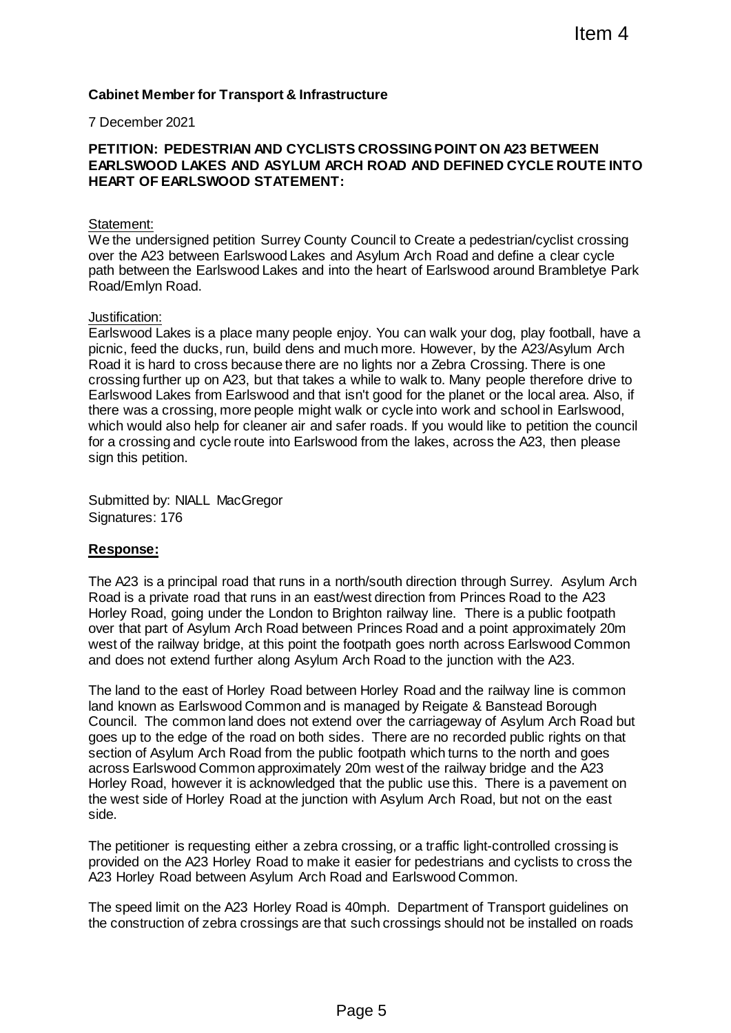# **Cabinet Member for Transport & Infrastructure**

#### 7 December 2021

### **PETITION: PEDESTRIAN AND CYCLISTS CROSSING POINT ON A23 BETWEEN EARLSWOOD LAKES AND ASYLUM ARCH ROAD AND DEFINED CYCLE ROUTE INTO HEART OF EARLSWOOD STATEMENT:**

# Statement:

We the undersigned petition Surrey County Council to Create a pedestrian/cyclist crossing over the A23 between Earlswood Lakes and Asylum Arch Road and define a clear cycle path between the Earlswood Lakes and into the heart of Earlswood around Brambletye Park Road/Emlyn Road.

#### Justification:

Earlswood Lakes is a place many people enjoy. You can walk your dog, play football, have a picnic, feed the ducks, run, build dens and much more. However, by the A23/Asylum Arch Road it is hard to cross because there are no lights nor a Zebra Crossing. There is one crossing further up on A23, but that takes a while to walk to. Many people therefore drive to Earlswood Lakes from Earlswood and that isn't good for the planet or the local area. Also, if there was a crossing, more people might walk or cycle into work and school in Earlswood, which would also help for cleaner air and safer roads. If you would like to petition the council for a crossing and cycle route into Earlswood from the lakes, across the A23, then please sign this petition.

Submitted by: NIALL MacGregor Signatures: 176

## **Response:**

The A23 is a principal road that runs in a north/south direction through Surrey. Asylum Arch Road is a private road that runs in an east/west direction from Princes Road to the A23 Horley Road, going under the London to Brighton railway line. There is a public footpath over that part of Asylum Arch Road between Princes Road and a point approximately 20m west of the railway bridge, at this point the footpath goes north across Earlswood Common and does not extend further along Asylum Arch Road to the junction with the A23.

The land to the east of Horley Road between Horley Road and the railway line is common land known as Earlswood Common and is managed by Reigate & Banstead Borough Council. The common land does not extend over the carriageway of Asylum Arch Road but goes up to the edge of the road on both sides. There are no recorded public rights on that section of Asylum Arch Road from the public footpath which turns to the north and goes across Earlswood Common approximately 20m west of the railway bridge and the A23 Horley Road, however it is acknowledged that the public use this. There is a pavement on the west side of Horley Road at the junction with Asylum Arch Road, but not on the east side. Item 4<br>
TIGEN CROSSING POINT ON A23 BETWEEN<br>
TSCROSSING POINT ON A23 BETWEEN<br>
RCH ROAD AND DEFINED CYCLE ROUTE INT<br>
PROFINED COVIDE AND AND DEFINED CYCLE ROUTE INT<br>
IT (MOVID AND AND A ROAD and define a clear cycle<br>
and As

The petitioner is requesting either a zebra crossing, or a traffic light-controlled crossing is provided on the A23 Horley Road to make it easier for pedestrians and cyclists to cross the A23 Horley Road between Asylum Arch Road and Earlswood Common.

The speed limit on the A23 Horley Road is 40mph. Department of Transport guidelines on the construction of zebra crossings are that such crossings should not be installed on roads